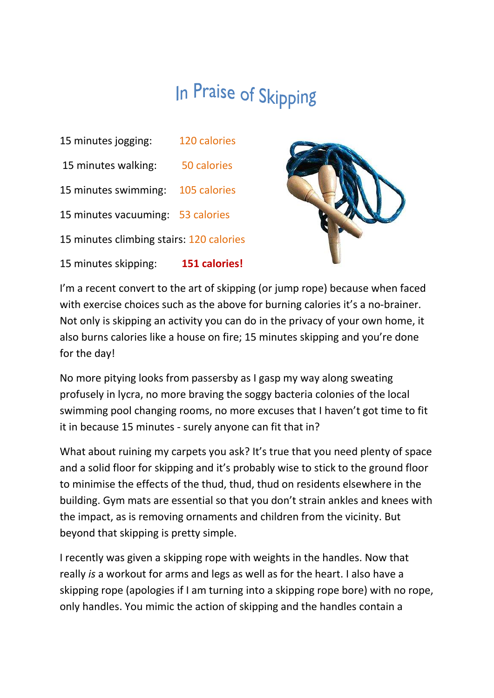## In Praise of Skipping

15 minutes jogging: 120 calories 15 minutes walking: 50 calories 15 minutes swimming: 105 calories 15 minutes vacuuming: 53 calories 15 minutes climbing stairs: 120 calories





I'm a recent convert to the art of skipping (or jump rope) because when faced with exercise choices such as the above for burning calories it's a no-brainer. Not only is skipping an activity you can do in the privacy of your own home, it also burns calories like a house on fire; 15 minutes skipping and you're done for the day!

No more pitying looks from passersby as I gasp my way along sweating profusely in lycra, no more braving the soggy bacteria colonies of the local swimming pool changing rooms, no more excuses that I haven't got time to fit it in because 15 minutes - surely anyone can fit that in?

What about ruining my carpets you ask? It's true that you need plenty of space and a solid floor for skipping and it's probably wise to stick to the ground floor to minimise the effects of the thud, thud, thud on residents elsewhere in the building. Gym mats are essential so that you don't strain ankles and knees with the impact, as is removing ornaments and children from the vicinity. But beyond that skipping is pretty simple.

I recently was given a skipping rope with weights in the handles. Now that really is a workout for arms and legs as well as for the heart. I also have a skipping rope (apologies if I am turning into a skipping rope bore) with no rope, only handles. You mimic the action of skipping and the handles contain a